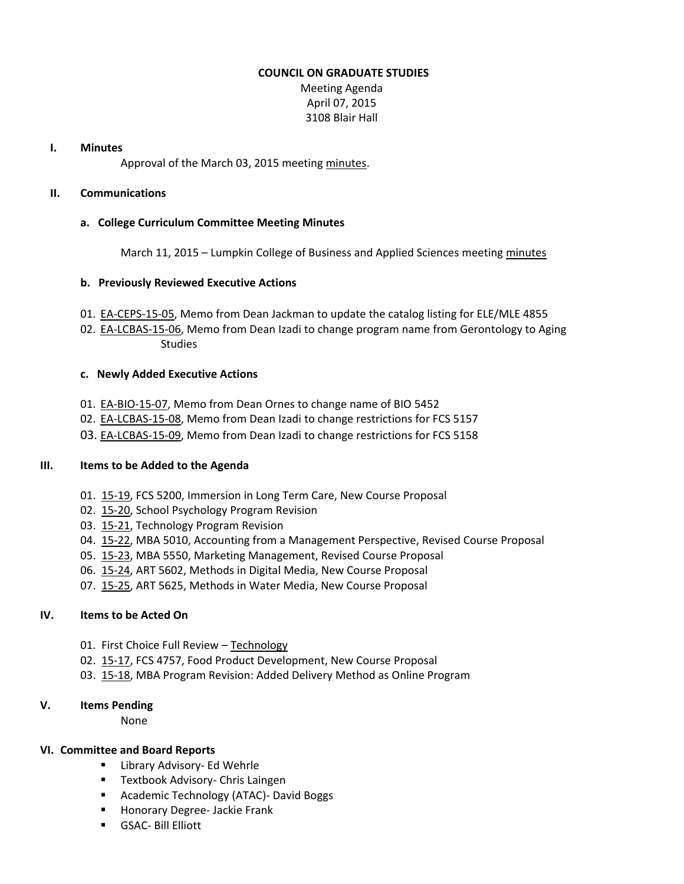#### **COUNCIL ON GRADUATE STUDIES**

Meeting Agenda April 07, 2015 3108 Blair Hall

#### **I. Minutes**

Approval of the March 03, 2015 meeting [minutes.](http://castle.eiu.edu/eiucgs/currentminutes/Minutes03-03-15.pdf)

## **II. Communications**

#### **a. College Curriculum Committee Meeting Minutes**

March 11, 2015 – Lumpkin College of Business and Applied Sciences meeting [minutes](http://castle.eiu.edu/~eiucgs/currentagendaitems/LCBASMin03-11-15.pdf)

#### **b. Previously Reviewed Executive Actions**

- 01. [EA-CEPS-15-05,](http://castle.eiu.edu/~eiucgs/exec-actions/EA-CEPS-15-05.pdf) Memo from Dean Jackman to update the catalog listing for ELE/MLE 4855
- 02. [EA-LCBAS-15-06,](http://castle.eiu.edu/~eiucgs/exec-actions/EA-LCBAS-15-06.pdf) Memo from Dean Izadi to change program name from Gerontology to Aging Studies

#### **c. Newly Added Executive Actions**

- 01. [EA-BIO-15-07,](http://castle.eiu.edu/~eiucgs/exec-actions/EA-BIO-15-07.pdf) Memo from Dean Ornes to change name of BIO 5452
- 02. [EA-LCBAS-15-08,](http://castle.eiu.edu/~eiucgs/exec-actions/EA-LCBAS-15-08.pdf) Memo from Dean Izadi to change restrictions for FCS 5157
- 03. [EA-LCBAS-15-09,](http://castle.eiu.edu/~eiucgs/exec-actions/EA-LCBAS-15-09.pdf) Memo from Dean Izadi to change restrictions for FCS 5158

## **III. Items to be Added to the Agenda**

- 01. [15-19,](http://castle.eiu.edu/~eiucgs/currentagendaitems/agenda15-19.pdf) FCS 5200, Immersion in Long Term Care, New Course Proposal
- 02. [15-20,](http://castle.eiu.edu/~eiucgs/currentagendaitems/agenda15-20.pdf) School Psychology Program Revision
- 03. [15-21,](http://castle.eiu.edu/~eiucgs/currentagendaitems/agenda15-21.pdf) Technology Program Revision
- 04. [15-22,](http://castle.eiu.edu/~eiucgs/currentagendaitems/agenda15-22.pdf) MBA 5010, Accounting from a Management Perspective, Revised Course Proposal
- 05. [15-23,](http://castle.eiu.edu/~eiucgs/currentagendaitems/agenda15-23.pdf) MBA 5550, Marketing Management, Revised Course Proposal
- 06. [15-24,](http://castle.eiu.edu/~eiucgs/currentagendaitems/agenda15-24.pdf) ART 5602, Methods in Digital Media, New Course Proposal
- 07. [15-25,](http://castle.eiu.edu/~eiucgs/currentagendaitems/agenda15-25.pdf) ART 5625, Methods in Water Media, New Course Proposal

## **IV. Items to be Acted On**

- 01. First Choice Full Review [Technology](http://castle.eiu.edu/~eiucgs/documents/TechnologyFirstChoiceReviewReport.pdf)
- 02. [15-17,](http://castle.eiu.edu/~eiucgs/currentagendaitems/agenda15-17.pdf) FCS 4757, Food Product Development, New Course Proposal
- 03. [15-18,](http://castle.eiu.edu/~eiucgs/currentagendaitems/agenda15-18.pdf) MBA Program Revision: Added Delivery Method as Online Program

## **V. Items Pending**

None

## **VI. Committee and Board Reports**

- **E** Library Advisory- Ed Wehrle
- **Textbook Advisory- Chris Laingen**
- **Academic Technology (ATAC)- David Boggs**
- **Honorary Degree- Jackie Frank**
- GSAC- Bill Elliott